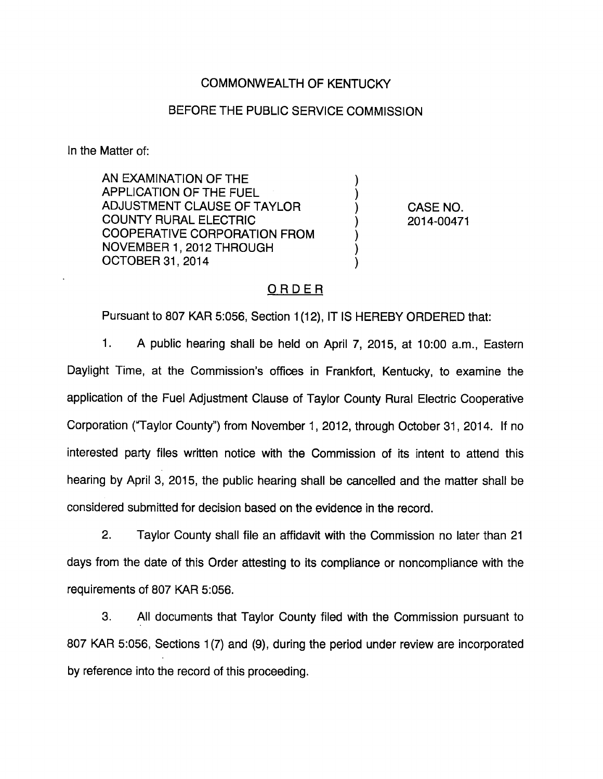## COMMONWEALTH OF KENTUCKY

#### BEFORE THE PUBLIC SERVICE COMMISSION

In the Matter of:

AN EXAMINATION OF THE APPLICATION OF THE FUEL ADJUSTMENT CLAUSE OF TAYLOR ) CASE NO. COUNTY RURAL ELECTRIC ) 2014-00471 COOPERATIVE CORPORATION FROM NOVEMBER 1, 2012 THROUGH OCTOBER 31, 2014

## ORDER

Pursuant to 807 KAR 5:056, Section 1(12), IT IS HEREBY ORDERED that:

1. A public hearing shall be held on April 7, 2015, at 10:00 a.m.. Eastern Daylight Time, at the Commission's offices in Frankfort, Kentucky, to examine the application of the Fuel Adjustment Clause of Taylor County Rural Electric Cooperative Corporation (Taylor County") from November 1, 2012, through October 31, 2014. If no interested party files written notice with the Commission of its intent to attend this hearing by April 3, 2015, the public hearing shall be cancelled and the matter shall be considered submitted for decision based on the evidence in the record.

2. Taylor County shall file an affidavit with the Commission no later than 21 days from the date of this Order attesting to its compliance or noncompliance with the requirements of 807 KAR 5:056.

3. All documents that Taylor County filed with the Commission pursuant to 807 KAR 5:056, Sections 1(7) and (9), during the period under review are incorporated by reference into the record of this proceeding.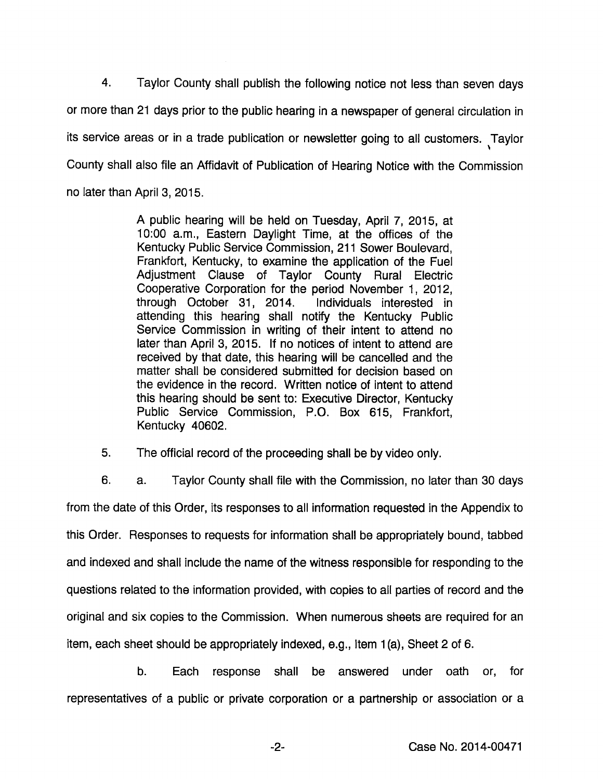4. Taylor County shall publish the following notice not less than seven days or more than 21 days prior to the public hearing in a newspaper of general circulation in its service areas or in a trade publication or newsletter going to all customers. Taylor County shall also file an Affidavit of Publication of Hearing Notice with the Commission no later than April 3, 2015.

> A public hearing will be held on Tuesday, April 7, 2015, at 10:00 a.m.. Eastern Daylight Time, at the offices of the Kentucky Public Service Commission, 211 Sower Boulevard, Frankfort, Kentucky, to examine the application of the Fuel Adjustment Clause of Taylor County Rural Electric Cooperative Corporation for the period November 1, 2012, through October 31, 2014. Individuals interested in attending this hearing shall notify the Kentucky Public Service Commission in writing of their intent to attend no later than April 3, 2015. If no notices of intent to attend are received by that date, this hearing will be cancelled and the matter shall be considered submitted for decision based on the evidence in the record. Written notice of intent to attend this hearing should be sent to: Executive Director, Kentucky Public Service Commission, P.O. Box 615, Frankfort, Kentucky 40602.

5. The official record of the proceeding shall be by video only.

6. a. Taylor County shall file with the Commission, no later than 30 days from the date of this Order, its responses to all information requested in the Appendix to this Order. Responses to requests for information shall be appropriately bound, tabbed and indexed and shall include the name of the witness responsible for responding to the questions related to the information provided, with copies to all parties of record and the original and six copies to the Commission. When numerous sheets are required for an item, each sheet should be appropriately indexed, e.g., Item 1(a), Sheet 2 of 6.

b. Each response shall be answered under oath or, for representatives of a public or private corporation or a partnership or association or a

-2- Case No. 2014-00471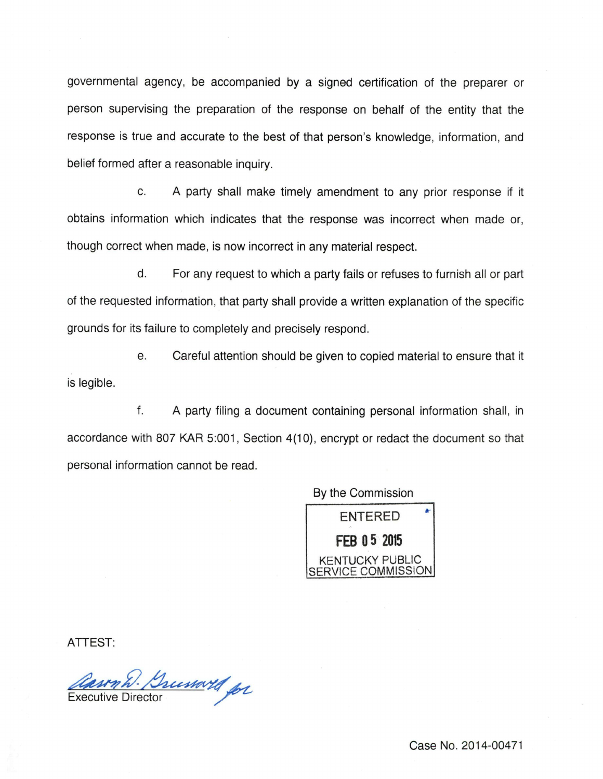governmental agency, be accompanied by a signed certification of the preparer or person supervising the preparation of the response on behalf of the entity that the response is true and accurate to the best of that person's knowledge, information, and belief formed after a reasonable inquiry.

c. A party shall make timely amendment to any prior response if it obtains information which indicates that the response was incorrect when made or, though correct when made, is now incorrect in any material respect.

d. For any request to which a party fails or refuses to furnish all or part of the requested information, that party shall provide a written explanation of the specific grounds for its failure to completely and precisely respond.

e. Careful attention should be given to copied material to ensure that it is legible.

f. A party filing a document containing personal information shall, in accordance with 807 KAR 5:001, Section 4(10), encrypt or redact the document so that personal information cannot be read.

By the Commission



ATTEST:

*Casom W. Brusswill for*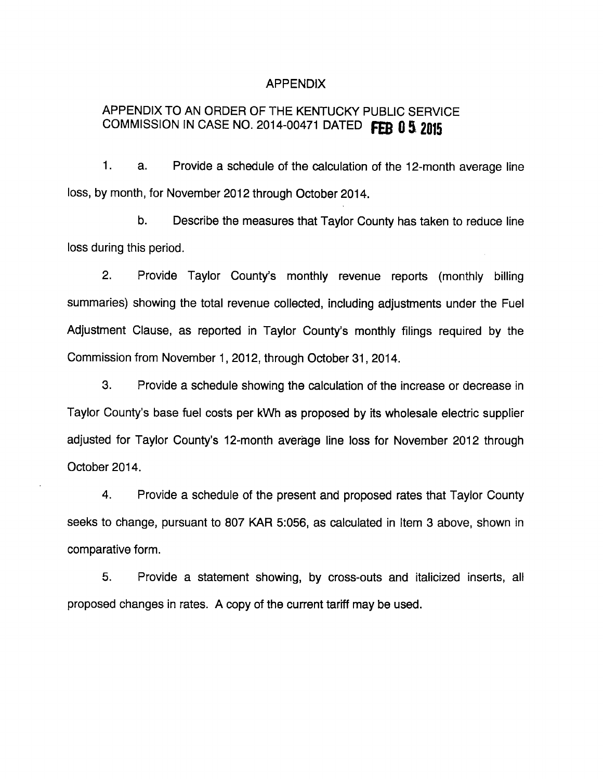#### APPENDIX

# APPENDIX TO AN ORDER OF THE KENTUCKY PUBLIC SERVICE COMMISSION IN CASE NO. 2014-00471 DATED FEB 0 5 2015

1. a. Provide a schedule of the calculation of the 12-month average line loss, by month, for November 2012 through October 2014.

b. Describe the measures that Taylor County has taken to reduce line loss during this period.

2. Provide Taylor County's monthly revenue reports (monthly billing summaries) showing the total revenue collected, including adjustments under the Fuel Adjustment Clause, as reported in Taylor County's monthly filings required by the Commission from November 1, 2012, through October 31, 2014.

3. Provide a schedule showing the calculation of the increase or decrease in Taylor County's base fuel costs per kWh as proposed by its wholesale electric supplier adjusted for Taylor County's 12-month average line loss for November 2012 through October 2014.

4. Provide a schedule of the present and proposed rates that Taylor County seeks to change, pursuant to 807 KAR 5:056, as calculated in Item 3 above, shown in comparative form.

5. Provide a statement showing, by cross-outs and italicized inserts, all proposed changes in rates. A copy of the current tariff may be used.